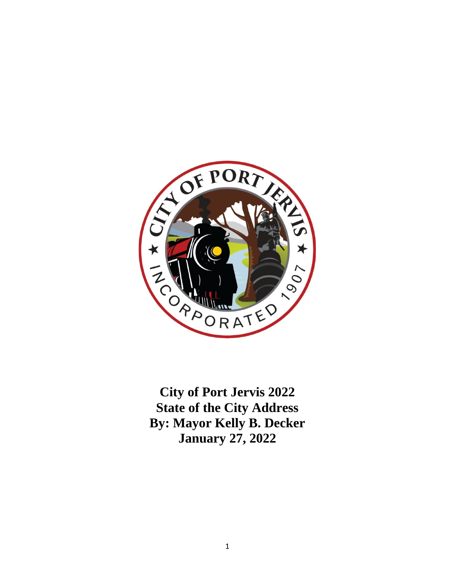

**City of Port Jervis 2022 State of the City Address By: Mayor Kelly B. Decker January 27, 2022**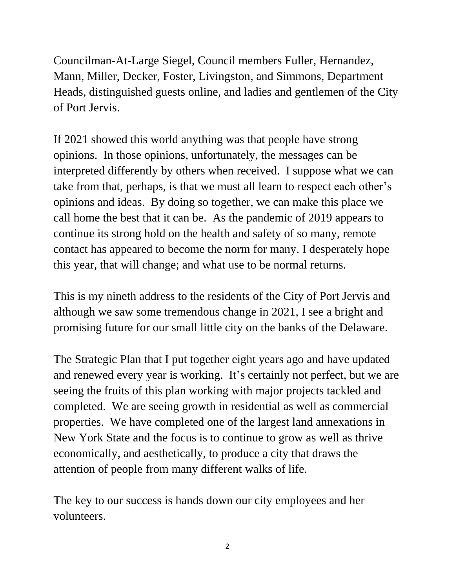Councilman-At-Large Siegel, Council members Fuller, Hernandez, Mann, Miller, Decker, Foster, Livingston, and Simmons, Department Heads, distinguished guests online, and ladies and gentlemen of the City of Port Jervis.

If 2021 showed this world anything was that people have strong opinions. In those opinions, unfortunately, the messages can be interpreted differently by others when received. I suppose what we can take from that, perhaps, is that we must all learn to respect each other's opinions and ideas. By doing so together, we can make this place we call home the best that it can be. As the pandemic of 2019 appears to continue its strong hold on the health and safety of so many, remote contact has appeared to become the norm for many. I desperately hope this year, that will change; and what use to be normal returns.

This is my nineth address to the residents of the City of Port Jervis and although we saw some tremendous change in 2021, I see a bright and promising future for our small little city on the banks of the Delaware.

The Strategic Plan that I put together eight years ago and have updated and renewed every year is working. It's certainly not perfect, but we are seeing the fruits of this plan working with major projects tackled and completed. We are seeing growth in residential as well as commercial properties. We have completed one of the largest land annexations in New York State and the focus is to continue to grow as well as thrive economically, and aesthetically, to produce a city that draws the attention of people from many different walks of life.

The key to our success is hands down our city employees and her volunteers.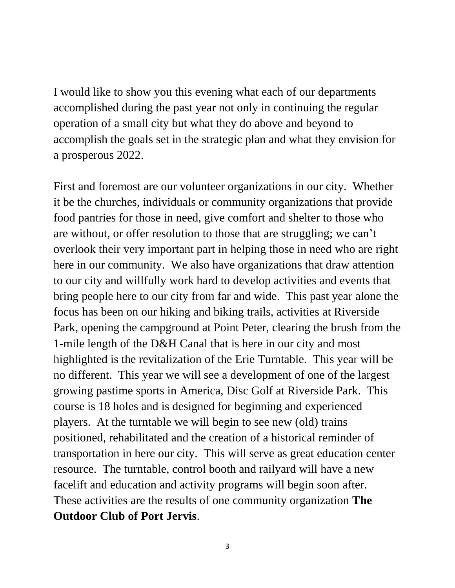I would like to show you this evening what each of our departments accomplished during the past year not only in continuing the regular operation of a small city but what they do above and beyond to accomplish the goals set in the strategic plan and what they envision for a prosperous 2022.

First and foremost are our volunteer organizations in our city. Whether it be the churches, individuals or community organizations that provide food pantries for those in need, give comfort and shelter to those who are without, or offer resolution to those that are struggling; we can't overlook their very important part in helping those in need who are right here in our community. We also have organizations that draw attention to our city and willfully work hard to develop activities and events that bring people here to our city from far and wide. This past year alone the focus has been on our hiking and biking trails, activities at Riverside Park, opening the campground at Point Peter, clearing the brush from the 1-mile length of the D&H Canal that is here in our city and most highlighted is the revitalization of the Erie Turntable. This year will be no different. This year we will see a development of one of the largest growing pastime sports in America, Disc Golf at Riverside Park. This course is 18 holes and is designed for beginning and experienced players. At the turntable we will begin to see new (old) trains positioned, rehabilitated and the creation of a historical reminder of transportation in here our city. This will serve as great education center resource. The turntable, control booth and railyard will have a new facelift and education and activity programs will begin soon after. These activities are the results of one community organization **The Outdoor Club of Port Jervis**.

3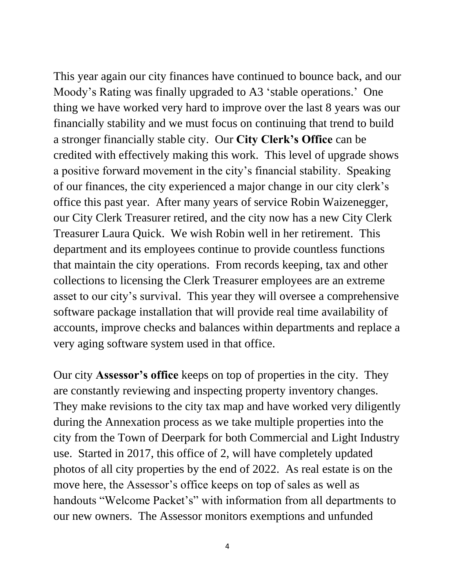This year again our city finances have continued to bounce back, and our Moody's Rating was finally upgraded to A3 'stable operations.' One thing we have worked very hard to improve over the last 8 years was our financially stability and we must focus on continuing that trend to build a stronger financially stable city. Our **City Clerk's Office** can be credited with effectively making this work.This level of upgrade shows a positive forward movement in the city's financial stability. Speaking of our finances, the city experienced a major change in our city clerk's office this past year. After many years of service Robin Waizenegger, our City Clerk Treasurer retired, and the city now has a new City Clerk Treasurer Laura Quick. We wish Robin well in her retirement. This department and its employees continue to provide countless functions that maintain the city operations. From records keeping, tax and other collections to licensing the Clerk Treasurer employees are an extreme asset to our city's survival. This year they will oversee a comprehensive software package installation that will provide real time availability of accounts, improve checks and balances within departments and replace a very aging software system used in that office.

Our city **Assessor's office** keeps on top of properties in the city. They are constantly reviewing and inspecting property inventory changes. They make revisions to the city tax map and have worked very diligently during the Annexation process as we take multiple properties into the city from the Town of Deerpark for both Commercial and Light Industry use. Started in 2017, this office of 2, will have completely updated photos of all city properties by the end of 2022. As real estate is on the move here, the Assessor's office keeps on top of sales as well as handouts "Welcome Packet's" with information from all departments to our new owners. The Assessor monitors exemptions and unfunded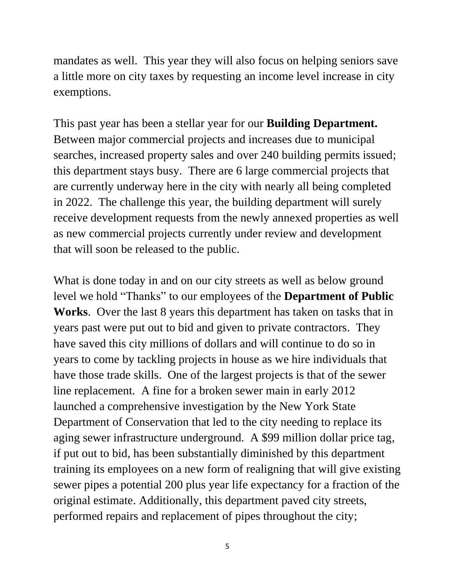mandates as well. This year they will also focus on helping seniors save a little more on city taxes by requesting an income level increase in city exemptions.

This past year has been a stellar year for our **Building Department.** Between major commercial projects and increases due to municipal searches, increased property sales and over 240 building permits issued; this department stays busy. There are 6 large commercial projects that are currently underway here in the city with nearly all being completed in 2022. The challenge this year, the building department will surely receive development requests from the newly annexed properties as well as new commercial projects currently under review and development that will soon be released to the public.

What is done today in and on our city streets as well as below ground level we hold "Thanks" to our employees of the **Department of Public Works**. Over the last 8 years this department has taken on tasks that in years past were put out to bid and given to private contractors. They have saved this city millions of dollars and will continue to do so in years to come by tackling projects in house as we hire individuals that have those trade skills. One of the largest projects is that of the sewer line replacement. A fine for a broken sewer main in early 2012 launched a comprehensive investigation by the New York State Department of Conservation that led to the city needing to replace its aging sewer infrastructure underground. A \$99 million dollar price tag, if put out to bid, has been substantially diminished by this department training its employees on a new form of realigning that will give existing sewer pipes a potential 200 plus year life expectancy for a fraction of the original estimate. Additionally, this department paved city streets, performed repairs and replacement of pipes throughout the city;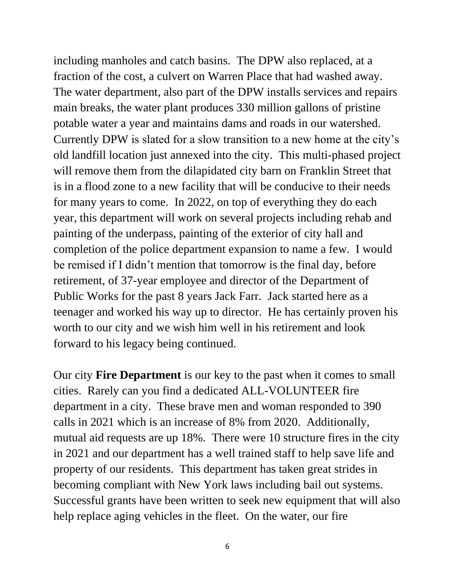including manholes and catch basins. The DPW also replaced, at a fraction of the cost, a culvert on Warren Place that had washed away. The water department, also part of the DPW installs services and repairs main breaks, the water plant produces 330 million gallons of pristine potable water a year and maintains dams and roads in our watershed. Currently DPW is slated for a slow transition to a new home at the city's old landfill location just annexed into the city. This multi-phased project will remove them from the dilapidated city barn on Franklin Street that is in a flood zone to a new facility that will be conducive to their needs for many years to come. In 2022, on top of everything they do each year, this department will work on several projects including rehab and painting of the underpass, painting of the exterior of city hall and completion of the police department expansion to name a few. I would be remised if I didn't mention that tomorrow is the final day, before retirement, of 37-year employee and director of the Department of Public Works for the past 8 years Jack Farr. Jack started here as a teenager and worked his way up to director. He has certainly proven his worth to our city and we wish him well in his retirement and look forward to his legacy being continued.

Our city **Fire Department** is our key to the past when it comes to small cities. Rarely can you find a dedicated ALL-VOLUNTEER fire department in a city. These brave men and woman responded to 390 calls in 2021 which is an increase of 8% from 2020. Additionally, mutual aid requests are up 18%. There were 10 structure fires in the city in 2021 and our department has a well trained staff to help save life and property of our residents. This department has taken great strides in becoming compliant with New York laws including bail out systems. Successful grants have been written to seek new equipment that will also help replace aging vehicles in the fleet. On the water, our fire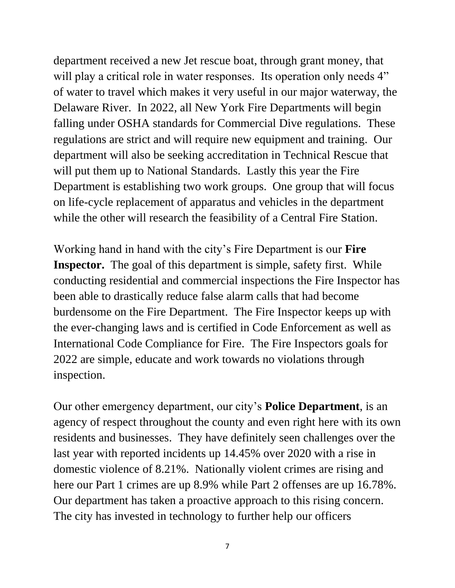department received a new Jet rescue boat, through grant money, that will play a critical role in water responses. Its operation only needs 4" of water to travel which makes it very useful in our major waterway, the Delaware River. In 2022, all New York Fire Departments will begin falling under OSHA standards for Commercial Dive regulations. These regulations are strict and will require new equipment and training. Our department will also be seeking accreditation in Technical Rescue that will put them up to National Standards. Lastly this year the Fire Department is establishing two work groups. One group that will focus on life-cycle replacement of apparatus and vehicles in the department while the other will research the feasibility of a Central Fire Station.

Working hand in hand with the city's Fire Department is our **Fire Inspector.** The goal of this department is simple, safety first. While conducting residential and commercial inspections the Fire Inspector has been able to drastically reduce false alarm calls that had become burdensome on the Fire Department. The Fire Inspector keeps up with the ever-changing laws and is certified in Code Enforcement as well as International Code Compliance for Fire. The Fire Inspectors goals for 2022 are simple, educate and work towards no violations through inspection.

Our other emergency department, our city's **Police Department**, is an agency of respect throughout the county and even right here with its own residents and businesses. They have definitely seen challenges over the last year with reported incidents up 14.45% over 2020 with a rise in domestic violence of 8.21%. Nationally violent crimes are rising and here our Part 1 crimes are up 8.9% while Part 2 offenses are up 16.78%. Our department has taken a proactive approach to this rising concern. The city has invested in technology to further help our officers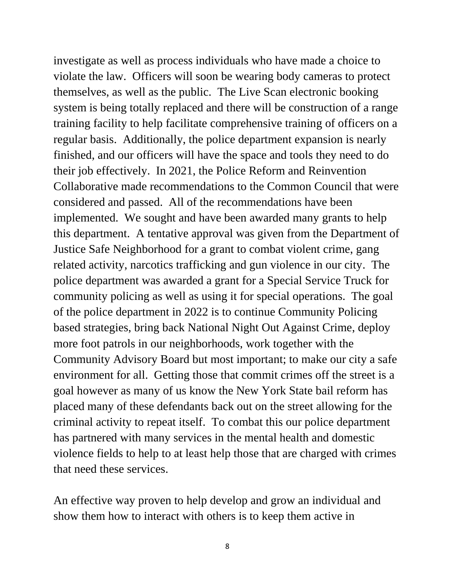investigate as well as process individuals who have made a choice to violate the law. Officers will soon be wearing body cameras to protect themselves, as well as the public. The Live Scan electronic booking system is being totally replaced and there will be construction of a range training facility to help facilitate comprehensive training of officers on a regular basis. Additionally, the police department expansion is nearly finished, and our officers will have the space and tools they need to do their job effectively. In 2021, the Police Reform and Reinvention Collaborative made recommendations to the Common Council that were considered and passed. All of the recommendations have been implemented. We sought and have been awarded many grants to help this department. A tentative approval was given from the Department of Justice Safe Neighborhood for a grant to combat violent crime, gang related activity, narcotics trafficking and gun violence in our city. The police department was awarded a grant for a Special Service Truck for community policing as well as using it for special operations. The goal of the police department in 2022 is to continue Community Policing based strategies, bring back National Night Out Against Crime, deploy more foot patrols in our neighborhoods, work together with the Community Advisory Board but most important; to make our city a safe environment for all. Getting those that commit crimes off the street is a goal however as many of us know the New York State bail reform has placed many of these defendants back out on the street allowing for the criminal activity to repeat itself. To combat this our police department has partnered with many services in the mental health and domestic violence fields to help to at least help those that are charged with crimes that need these services.

An effective way proven to help develop and grow an individual and show them how to interact with others is to keep them active in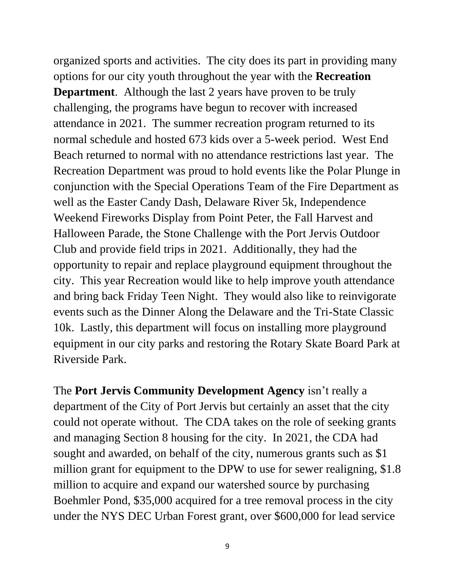organized sports and activities. The city does its part in providing many options for our city youth throughout the year with the **Recreation Department**. Although the last 2 years have proven to be truly challenging, the programs have begun to recover with increased attendance in 2021. The summer recreation program returned to its normal schedule and hosted 673 kids over a 5-week period. West End Beach returned to normal with no attendance restrictions last year. The Recreation Department was proud to hold events like the Polar Plunge in conjunction with the Special Operations Team of the Fire Department as well as the Easter Candy Dash, Delaware River 5k, Independence Weekend Fireworks Display from Point Peter, the Fall Harvest and Halloween Parade, the Stone Challenge with the Port Jervis Outdoor Club and provide field trips in 2021. Additionally, they had the opportunity to repair and replace playground equipment throughout the city. This year Recreation would like to help improve youth attendance and bring back Friday Teen Night. They would also like to reinvigorate events such as the Dinner Along the Delaware and the Tri-State Classic 10k. Lastly, this department will focus on installing more playground equipment in our city parks and restoring the Rotary Skate Board Park at Riverside Park.

The **Port Jervis Community Development Agency** isn't really a department of the City of Port Jervis but certainly an asset that the city could not operate without. The CDA takes on the role of seeking grants and managing Section 8 housing for the city. In 2021, the CDA had sought and awarded, on behalf of the city, numerous grants such as \$1 million grant for equipment to the DPW to use for sewer realigning, \$1.8 million to acquire and expand our watershed source by purchasing Boehmler Pond, \$35,000 acquired for a tree removal process in the city under the NYS DEC Urban Forest grant, over \$600,000 for lead service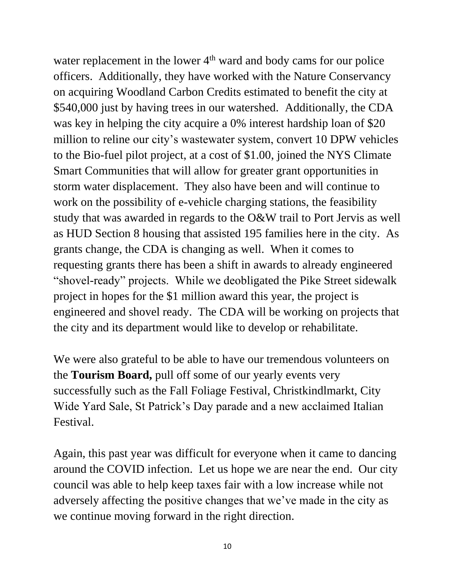water replacement in the lower  $4<sup>th</sup>$  ward and body cams for our police officers. Additionally, they have worked with the Nature Conservancy on acquiring Woodland Carbon Credits estimated to benefit the city at \$540,000 just by having trees in our watershed. Additionally, the CDA was key in helping the city acquire a 0% interest hardship loan of \$20 million to reline our city's wastewater system, convert 10 DPW vehicles to the Bio-fuel pilot project, at a cost of \$1.00, joined the NYS Climate Smart Communities that will allow for greater grant opportunities in storm water displacement. They also have been and will continue to work on the possibility of e-vehicle charging stations, the feasibility study that was awarded in regards to the O&W trail to Port Jervis as well as HUD Section 8 housing that assisted 195 families here in the city. As grants change, the CDA is changing as well. When it comes to requesting grants there has been a shift in awards to already engineered "shovel-ready" projects. While we deobligated the Pike Street sidewalk project in hopes for the \$1 million award this year, the project is engineered and shovel ready. The CDA will be working on projects that the city and its department would like to develop or rehabilitate.

We were also grateful to be able to have our tremendous volunteers on the **Tourism Board,** pull off some of our yearly events very successfully such as the Fall Foliage Festival, Christkindlmarkt, City Wide Yard Sale, St Patrick's Day parade and a new acclaimed Italian Festival.

Again, this past year was difficult for everyone when it came to dancing around the COVID infection. Let us hope we are near the end. Our city council was able to help keep taxes fair with a low increase while not adversely affecting the positive changes that we've made in the city as we continue moving forward in the right direction.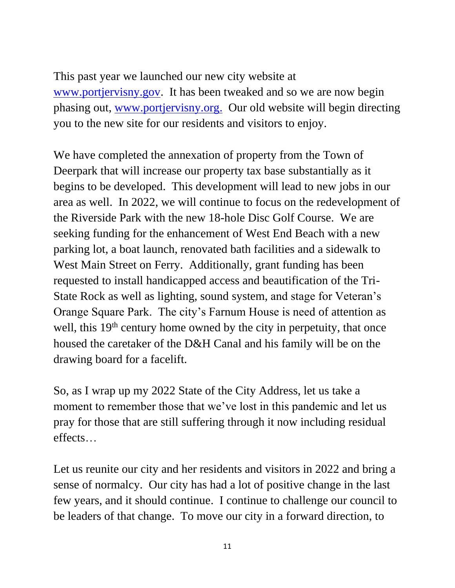This past year we launched our new city website at [www.portjervisny.gov.](http://www.portjervisny.gov/) It has been tweaked and so we are now begin phasing out, [www.portjervisny.org.](http://www.portjervisny.org/) Our old website will begin directing you to the new site for our residents and visitors to enjoy.

We have completed the annexation of property from the Town of Deerpark that will increase our property tax base substantially as it begins to be developed. This development will lead to new jobs in our area as well. In 2022, we will continue to focus on the redevelopment of the Riverside Park with the new 18-hole Disc Golf Course. We are seeking funding for the enhancement of West End Beach with a new parking lot, a boat launch, renovated bath facilities and a sidewalk to West Main Street on Ferry. Additionally, grant funding has been requested to install handicapped access and beautification of the Tri-State Rock as well as lighting, sound system, and stage for Veteran's Orange Square Park. The city's Farnum House is need of attention as well, this 19<sup>th</sup> century home owned by the city in perpetuity, that once housed the caretaker of the D&H Canal and his family will be on the drawing board for a facelift.

So, as I wrap up my 2022 State of the City Address, let us take a moment to remember those that we've lost in this pandemic and let us pray for those that are still suffering through it now including residual effects…

Let us reunite our city and her residents and visitors in 2022 and bring a sense of normalcy. Our city has had a lot of positive change in the last few years, and it should continue. I continue to challenge our council to be leaders of that change. To move our city in a forward direction, to